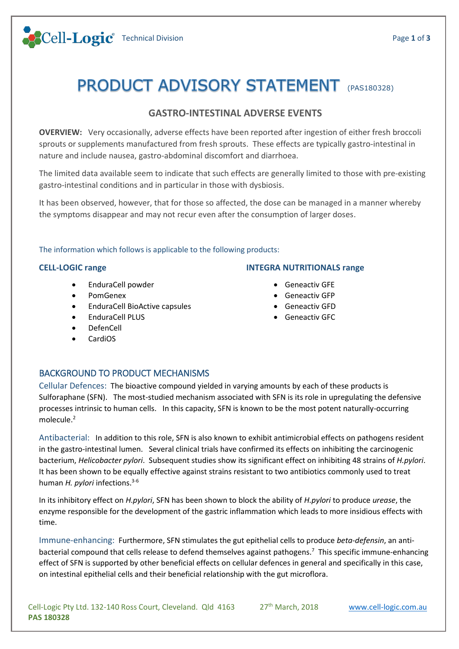

# PRODUCT ADVISORY STATEMENT (PAS180328)

## **GASTRO-INTESTINAL ADVERSE EVENTS**

**OVERVIEW:** Very occasionally, adverse effects have been reported after ingestion of either fresh broccoli sprouts or supplements manufactured from fresh sprouts. These effects are typically gastro-intestinal in nature and include nausea, gastro-abdominal discomfort and diarrhoea.

The limited data available seem to indicate that such effects are generally limited to those with pre-existing gastro-intestinal conditions and in particular in those with dysbiosis.

It has been observed, however, that for those so affected, the dose can be managed in a manner whereby the symptoms disappear and may not recur even after the consumption of larger doses.

The information which follows is applicable to the following products:

#### **CELL-LOGIC range**

- EnduraCell powder
- PomGenex
- EnduraCell BioActive capsules
- EnduraCell PLUS
- DefenCell
- CardiOS

#### **INTEGRA NUTRITIONALS range**

- Geneactiv GFE
- Geneactiv GFP
- Geneactiv GFD
- Geneactiv GFC

### BACKGROUND TO PRODUCT MECHANISMS

Cellular Defences: The bioactive compound yielded in varying amounts by each of these products is Sulforaphane (SFN). The most-studied mechanism associated with SFN is its role in upregulating the defensive processes intrinsic to human cells. In this capacity, SFN is known to be the most potent naturally-occurring molecule.<sup>2</sup>

Antibacterial: In addition to this role, SFN is also known to exhibit antimicrobial effects on pathogens resident in the gastro-intestinal lumen. Several clinical trials have confirmed its effects on inhibiting the carcinogenic bacterium, *Helicobacter pylori*. Subsequent studies show its significant effect on inhibiting 48 strains of *H.pylori*. It has been shown to be equally effective against strains resistant to two antibiotics commonly used to treat human *H. pylori* infections.3-6

In its inhibitory effect on *H.pylori*, SFN has been shown to block the ability of *H.pylori* to produce *urease*, the enzyme responsible for the development of the gastric inflammation which leads to more insidious effects with time.

Immune-enhancing: Furthermore, SFN stimulates the gut epithelial cells to produce *beta-defensin*, an antibacterial compound that cells release to defend themselves against pathogens.<sup>7</sup> This specific immune-enhancing effect of SFN is supported by other beneficial effects on cellular defences in general and specifically in this case, on intestinal epithelial cells and their beneficial relationship with the gut microflora.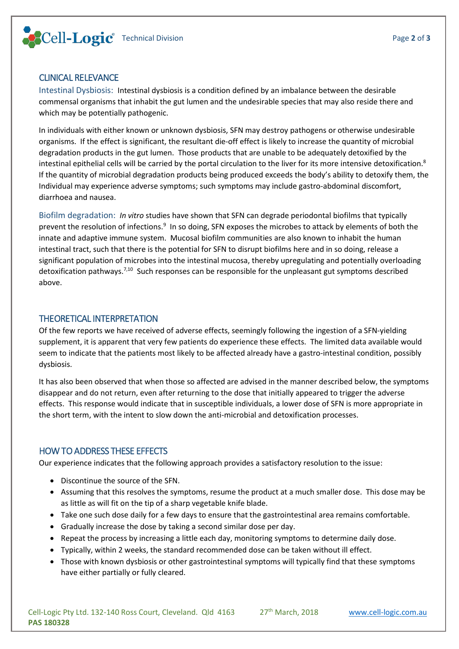

#### CLINICAL RELEVANCE

Intestinal Dysbiosis: Intestinal dysbiosis is a condition defined by an imbalance between the desirable commensal organisms that inhabit the gut lumen and the undesirable species that may also reside there and which may be potentially pathogenic.

In individuals with either known or unknown dysbiosis, SFN may destroy pathogens or otherwise undesirable organisms. If the effect is significant, the resultant die-off effect is likely to increase the quantity of microbial degradation products in the gut lumen. Those products that are unable to be adequately detoxified by the intestinal epithelial cells will be carried by the portal circulation to the liver for its more intensive detoxification.<sup>8</sup> If the quantity of microbial degradation products being produced exceeds the body's ability to detoxify them, the Individual may experience adverse symptoms; such symptoms may include gastro-abdominal discomfort, diarrhoea and nausea.

Biofilm degradation: *In vitro* studies have shown that SFN can degrade periodontal biofilms that typically prevent the resolution of infections.<sup>9</sup> In so doing, SFN exposes the microbes to attack by elements of both the innate and adaptive immune system. Mucosal biofilm communities are also known to inhabit the human intestinal tract, such that there is the potential for SFN to disrupt biofilms here and in so doing, release a significant population of microbes into the intestinal mucosa, thereby upregulating and potentially overloading detoxification pathways.<sup>7,10</sup> Such responses can be responsible for the unpleasant gut symptoms described above.

#### THEORETICAL INTERPRETATION

Of the few reports we have received of adverse effects, seemingly following the ingestion of a SFN-yielding supplement, it is apparent that very few patients do experience these effects. The limited data available would seem to indicate that the patients most likely to be affected already have a gastro-intestinal condition, possibly dysbiosis.

It has also been observed that when those so affected are advised in the manner described below, the symptoms disappear and do not return, even after returning to the dose that initially appeared to trigger the adverse effects. This response would indicate that in susceptible individuals, a lower dose of SFN is more appropriate in the short term, with the intent to slow down the anti-microbial and detoxification processes.

#### HOW TO ADDRESS THESE EFFECTS

Our experience indicates that the following approach provides a satisfactory resolution to the issue:

- Discontinue the source of the SFN.
- Assuming that this resolves the symptoms, resume the product at a much smaller dose. This dose may be as little as will fit on the tip of a sharp vegetable knife blade.
- Take one such dose daily for a few days to ensure that the gastrointestinal area remains comfortable.
- Gradually increase the dose by taking a second similar dose per day.
- Repeat the process by increasing a little each day, monitoring symptoms to determine daily dose.
- Typically, within 2 weeks, the standard recommended dose can be taken without ill effect.
- Those with known dysbiosis or other gastrointestinal symptoms will typically find that these symptoms have either partially or fully cleared.